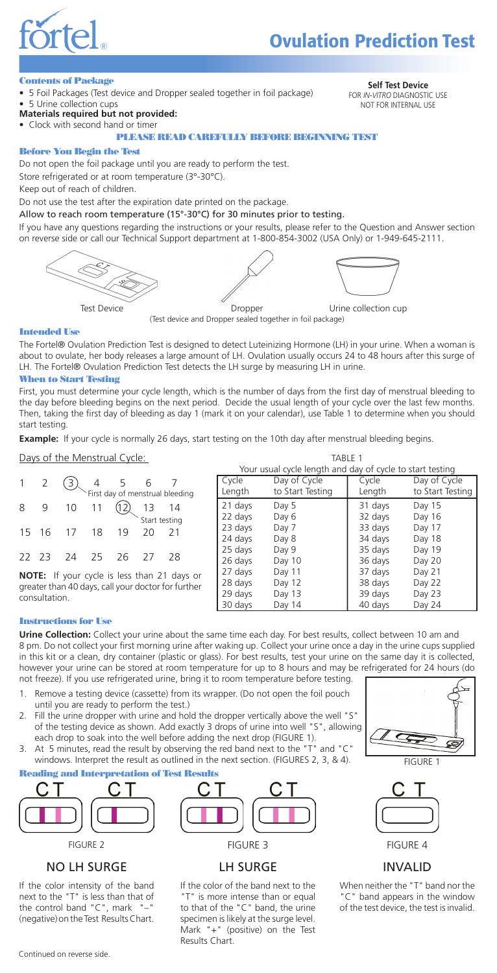

# **Ovulation Prediction Test**

**Contents of Package**<br>• 5 Foil Packages (Test device and Dropper sealed together in foil package) **Self Test Device**<br>FOR IN-VITRO DIAGNOSTI 5 Urine collection cups

FOR *IN-VITRO* DIAGNOSTIC USE NOT FOR INTERNAL USE

- **Materials required but not provided:**
- Clock with second hand or timer

PLEASE READ CAREFULLY BEFORE BEGINNING TEST

#### Before You Begin the Test

Do not open the foil package until you are ready to perform the test.

Store refrigerated or at room temperature (3°-30°C).

Keep out of reach of children.

Do not use the test after the expiration date printed on the package.

#### Allow to reach room temperature (15°-30°C) for 30 minutes prior to testing.

If you have any questions regarding the instructions or your results, please refer to the Question and Answer section on reverse side or call our Technical Support department at 1-800-854-3002 (USA Only) or 1-949-645-2111.



(Test device and Dropper sealed together in foil package)

#### Intended Use

The Fortel® Ovulation Prediction Test is designed to detect Luteinizing Hormone (LH) in your urine. When a woman is about to ovulate, her body releases a large amount of LH. Ovulation usually occurs 24 to 48 hours after this surge of LH. The Fortel® Ovulation Prediction Test detects the LH surge by measuring LH in urine.

#### When to Start Testing

First, you must determine your cycle length, which is the number of days from the first day of menstrual bleeding to the day before bleeding begins on the next period. Decide the usual length of your cycle over the last few months. Then, taking the first day of bleeding as day 1 (mark it on your calendar), use Table 1 to determine when you should start testing.

**Example:** If your cycle is normally 26 days, start testing on the 10th day after menstrual bleeding begins.

Days of the Menstrual Cycle:

|                                                        | $1 \quad 2$ |                   |  |  |  | $\begin{array}{ccc} 3 & 4 & 5 & 6 & 7 \\ 2 & 5 & 6 & 7 \\ 3 & 5 & 7 & 7 \end{array}$ |  |
|--------------------------------------------------------|-------------|-------------------|--|--|--|--------------------------------------------------------------------------------------|--|
|                                                        |             |                   |  |  |  |                                                                                      |  |
| 8                                                      |             | 9 10 11 12 13 14  |  |  |  |                                                                                      |  |
|                                                        |             |                   |  |  |  |                                                                                      |  |
|                                                        |             | 15 16 17 18 19 20 |  |  |  | 21                                                                                   |  |
|                                                        |             |                   |  |  |  |                                                                                      |  |
|                                                        |             | 22 23 24 25 26 27 |  |  |  | - 28                                                                                 |  |
| $M$ $\Omega$ TE: If your cyclo is loss than 21 days of |             |                   |  |  |  |                                                                                      |  |

| <b>NOTE:</b> If your cycle is less than 21 days or |  |  |  |  |
|----------------------------------------------------|--|--|--|--|
| greater than 40 days, call your doctor for further |  |  |  |  |
| consultation.                                      |  |  |  |  |

| Your usual cycle length and day of cycle to start testing |  |
|-----------------------------------------------------------|--|
|                                                           |  |
| Day of Cycle<br>Day of Cycle<br>Cycle<br>Cycle            |  |
| to Start Testing<br>to Start Testing<br>Length<br>Length  |  |
| 21 days<br>31 days<br>Day 5<br>Day 15                     |  |
| 22 days<br>32 days<br>Day 16<br>Day 6                     |  |
| 23 days<br>33 days<br>Day 7<br>Day 17                     |  |
| 24 days<br>34 days<br>Day 18<br>Day 8                     |  |
| 25 days<br>35 days<br>Day 19<br>Day 9                     |  |
| 36 days<br>26 days<br>Day 10<br>Day 20                    |  |
| 27 days<br>Day 11<br>37 days<br>Day 21                    |  |
| 28 days<br>Day 12<br>38 days<br>Day 22                    |  |
| 29 days<br>39 days<br>Day 13<br>Day 23                    |  |
| 30 days<br>Day 14<br>40 days<br>Day 24                    |  |

TABLE 1

#### Instructions for Use

**Urine Collection:** Collect your urine about the same time each day. For best results, collect between 10 am and 8 pm. Do not collect your first morning urine after waking up. Collect your urine once a day in the urine cups supplied in this kit or a clean, dry container (plastic or glass). For best results, test your urine on the same day it is collected, however your urine can be stored at room temperature for up to 8 hours and may be refrigerated for 24 hours (do not freeze). If you use refrigerated urine, bring it to room temperature before testing.

- 1. Remove a testing device (cassette) from its wrapper. (Do not open the foil pouch until you are ready to perform the test.)
- 2. Fill the urine dropper with urine and hold the dropper vertically above the well "S" of the testing device as shown. Add exactly 3 drops of urine into well "S", allowing each drop to soak into the well before adding the next drop (FIGURE 1).
- 3. At 5 minutes, read the result by observing the red band next to the "T" and "C" windows. Interpret the result as outlined in the next section. (FIGURES 2, 3, & 4). Reading and Interpretation of Test Results



FIGURE 2

# NO LH SURGE

If the color intensity of the band next to the "T" is less than that of the control band " $C$ ", mark (negative) on the Test Results Chart.



# LH SURGE

If the color of the band next to the "T" is more intense than or equal to that of the "C" band, the urine specimen is likely at the surge level. Mark "+" (positive) on the Test Results Chart.





# INVALID

When neither the "T" band nor the "C" band appears in the window of the test device, the test is invalid.